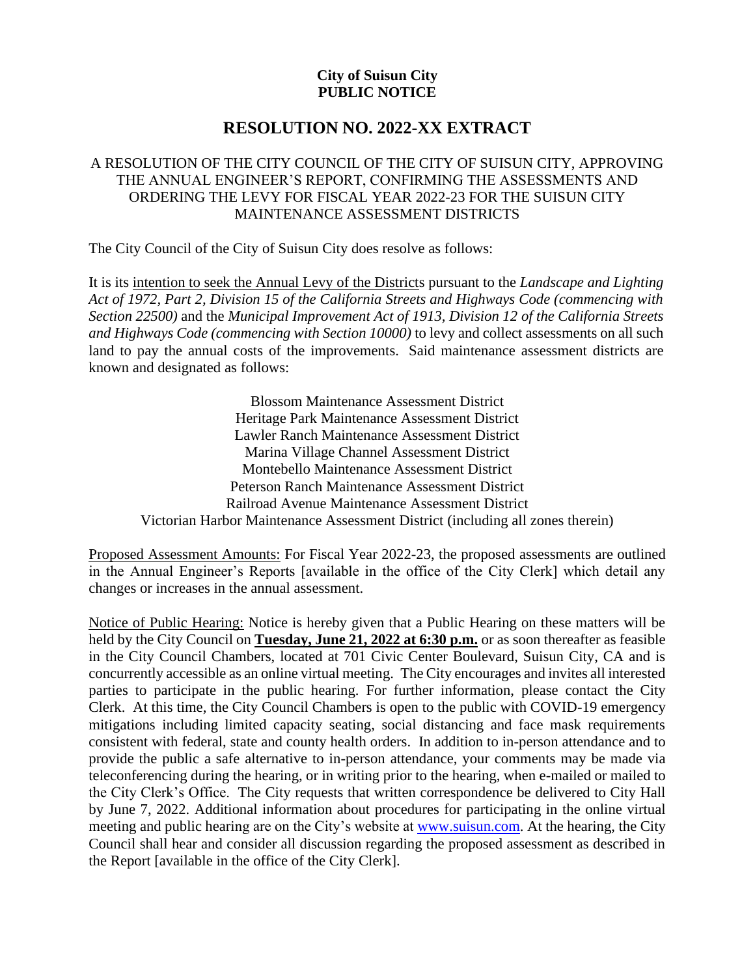## **City of Suisun City PUBLIC NOTICE**

## **RESOLUTION NO. 2022-XX EXTRACT**

## A RESOLUTION OF THE CITY COUNCIL OF THE CITY OF SUISUN CITY, APPROVING THE ANNUAL ENGINEER'S REPORT, CONFIRMING THE ASSESSMENTS AND ORDERING THE LEVY FOR FISCAL YEAR 2022-23 FOR THE SUISUN CITY MAINTENANCE ASSESSMENT DISTRICTS

The City Council of the City of Suisun City does resolve as follows:

It is its intention to seek the Annual Levy of the Districts pursuant to the *Landscape and Lighting Act of 1972, Part 2, Division 15 of the California Streets and Highways Code (commencing with Section 22500)* and the *Municipal Improvement Act of 1913, Division 12 of the California Streets and Highways Code (commencing with Section 10000)* to levy and collect assessments on all such land to pay the annual costs of the improvements. Said maintenance assessment districts are known and designated as follows:

Blossom Maintenance Assessment District Heritage Park Maintenance Assessment District Lawler Ranch Maintenance Assessment District Marina Village Channel Assessment District Montebello Maintenance Assessment District Peterson Ranch Maintenance Assessment District Railroad Avenue Maintenance Assessment District Victorian Harbor Maintenance Assessment District (including all zones therein)

Proposed Assessment Amounts: For Fiscal Year 2022-23, the proposed assessments are outlined in the Annual Engineer's Reports [available in the office of the City Clerk] which detail any changes or increases in the annual assessment.

Notice of Public Hearing: Notice is hereby given that a Public Hearing on these matters will be held by the City Council on **Tuesday, June 21, 2022 at 6:30 p.m.** or as soon thereafter as feasible in the City Council Chambers, located at 701 Civic Center Boulevard, Suisun City, CA and is concurrently accessible as an online virtual meeting. The City encourages and invites all interested parties to participate in the public hearing. For further information, please contact the City Clerk. At this time, the City Council Chambers is open to the public with COVID-19 emergency mitigations including limited capacity seating, social distancing and face mask requirements consistent with federal, state and county health orders. In addition to in-person attendance and to provide the public a safe alternative to in-person attendance, your comments may be made via teleconferencing during the hearing, or in writing prior to the hearing, when e-mailed or mailed to the City Clerk's Office. The City requests that written correspondence be delivered to City Hall by June 7, 2022. Additional information about procedures for participating in the online virtual meeting and public hearing are on the City's website at [www.suisun.com.](http://www.suisun.com/) At the hearing, the City Council shall hear and consider all discussion regarding the proposed assessment as described in the Report [available in the office of the City Clerk].